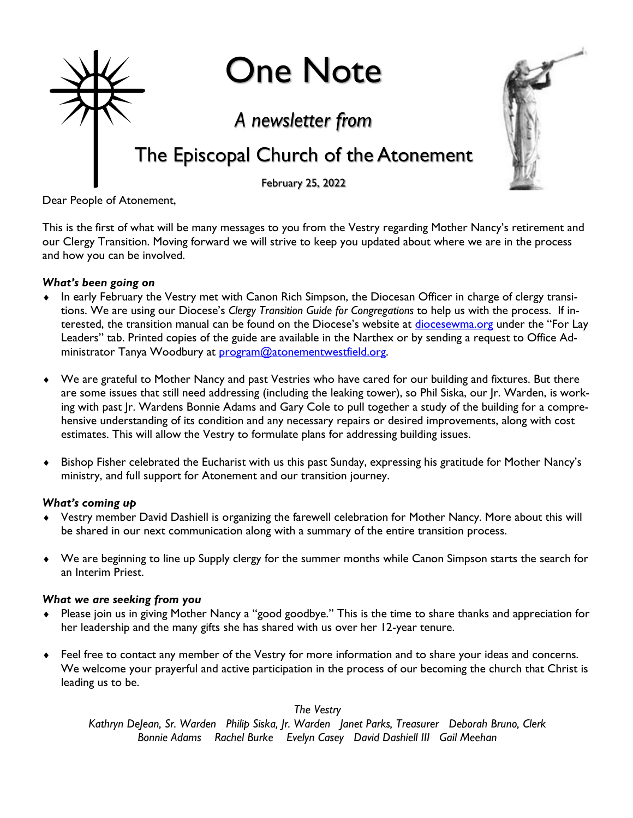

Dear People of Atonement,

This is the first of what will be many messages to you from the Vestry regarding Mother Nancy's retirement and our Clergy Transition. Moving forward we will strive to keep you updated about where we are in the process and how you can be involved.

#### *What's been going on*

- In early February the Vestry met with Canon Rich Simpson, the Diocesan Officer in charge of clergy transitions. We are using our Diocese's *Clergy Transition Guide for Congregations* to help us with the process. If interested, the transition manual can be found on the Diocese's website at [diocesewma.org](http://diocesewma.org/) under the "For Lay Leaders" tab. Printed copies of the guide are available in the Narthex or by sending a request to Office Administrator Tanya Woodbury at [program@atonementwestfield.org.](mailto:program@atonementwestfield.org)
- We are grateful to Mother Nancy and past Vestries who have cared for our building and fixtures. But there are some issues that still need addressing (including the leaking tower), so Phil Siska, our Jr. Warden, is working with past Jr. Wardens Bonnie Adams and Gary Cole to pull together a study of the building for a comprehensive understanding of its condition and any necessary repairs or desired improvements, along with cost estimates. This will allow the Vestry to formulate plans for addressing building issues.
- Bishop Fisher celebrated the Eucharist with us this past Sunday, expressing his gratitude for Mother Nancy's ministry, and full support for Atonement and our transition journey.

#### *What's coming up*

- Vestry member David Dashiell is organizing the farewell celebration for Mother Nancy. More about this will be shared in our next communication along with a summary of the entire transition process.
- We are beginning to line up Supply clergy for the summer months while Canon Simpson starts the search for an Interim Priest.

#### *What we are seeking from you*

- Please join us in giving Mother Nancy a "good goodbye." This is the time to share thanks and appreciation for her leadership and the many gifts she has shared with us over her 12-year tenure.
- Feel free to contact any member of the Vestry for more information and to share your ideas and concerns. We welcome your prayerful and active participation in the process of our becoming the church that Christ is leading us to be.

*The Vestry*

*Kathryn DeJean, Sr. Warden Philip Siska, Jr. Warden Janet Parks, Treasurer Deborah Bruno, Clerk Bonnie Adams Rachel Burke Evelyn Casey David Dashiell III Gail Meehan*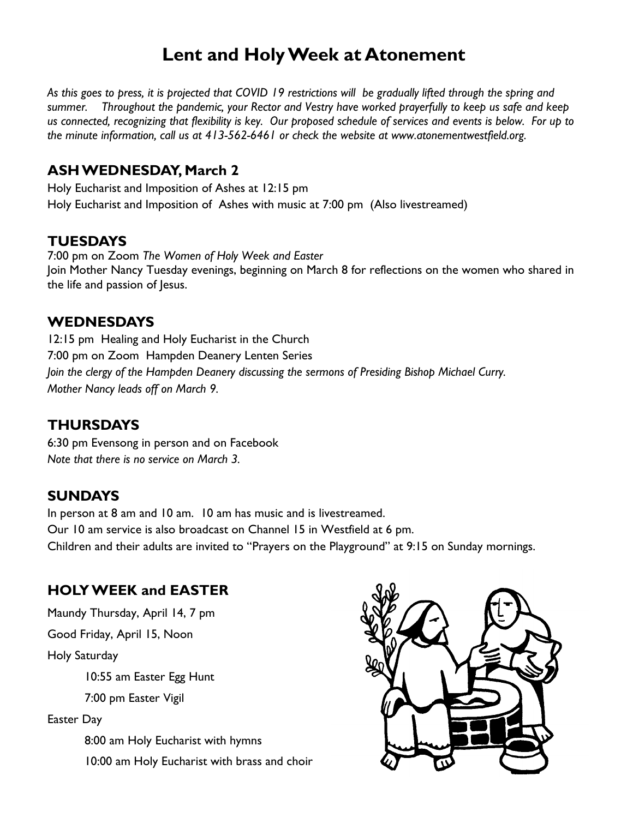## **Lent and Holy Week at Atonement**

*As this goes to press, it is projected that COVID 19 restrictions will be gradually lifted through the spring and summer. Throughout the pandemic, your Rector and Vestry have worked prayerfully to keep us safe and keep us connected, recognizing that flexibility is key. Our proposed schedule of services and events is below. For up to the minute information, call us at 413-562-6461 or check the website at www.atonementwestfield.org.*

#### **ASH WEDNESDAY, March 2**

Holy Eucharist and Imposition of Ashes at 12:15 pm Holy Eucharist and Imposition of Ashes with music at 7:00 pm (Also livestreamed)

#### **TUESDAYS**

7:00 pm on Zoom *The Women of Holy Week and Easter* Join Mother Nancy Tuesday evenings, beginning on March 8 for reflections on the women who shared in the life and passion of Jesus.

#### **WEDNESDAYS**

12:15 pm Healing and Holy Eucharist in the Church 7:00 pm on Zoom Hampden Deanery Lenten Series *Join the clergy of the Hampden Deanery discussing the sermons of Presiding Bishop Michael Curry. Mother Nancy leads off on March 9.*

### **THURSDAYS**

6:30 pm Evensong in person and on Facebook *Note that there is no service on March 3.*

### **SUNDAYS**

In person at 8 am and 10 am. 10 am has music and is livestreamed. Our 10 am service is also broadcast on Channel 15 in Westfield at 6 pm. Children and their adults are invited to "Prayers on the Playground" at 9:15 on Sunday mornings.

### **HOLY WEEK and EASTER**

Maundy Thursday, April 14, 7 pm

Good Friday, April 15, Noon

Holy Saturday

10:55 am Easter Egg Hunt

7:00 pm Easter Vigil

Easter Day

8:00 am Holy Eucharist with hymns 10:00 am Holy Eucharist with brass and choir

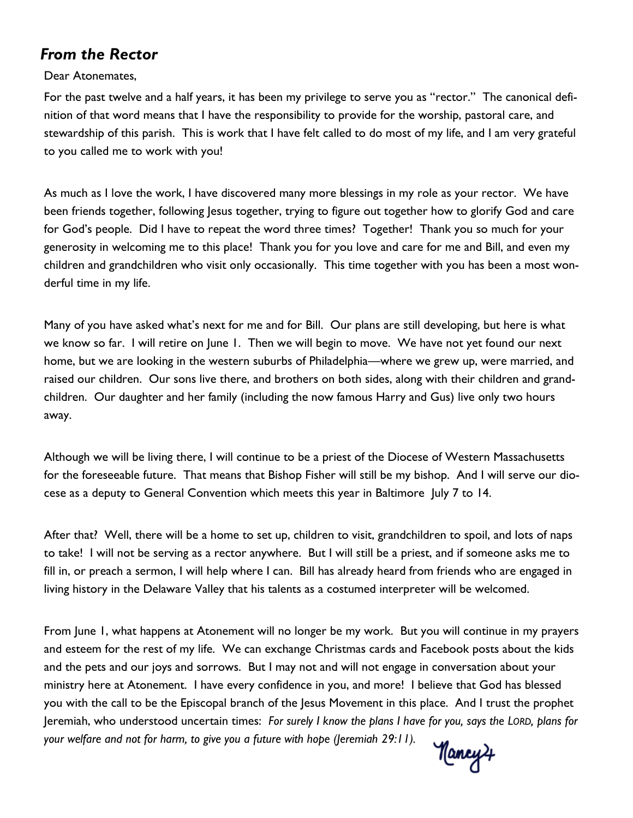### *From the Rector*

#### Dear Atonemates,

For the past twelve and a half years, it has been my privilege to serve you as "rector." The canonical definition of that word means that I have the responsibility to provide for the worship, pastoral care, and stewardship of this parish. This is work that I have felt called to do most of my life, and I am very grateful to you called me to work with you!

As much as I love the work, I have discovered many more blessings in my role as your rector. We have been friends together, following Jesus together, trying to figure out together how to glorify God and care for God's people. Did I have to repeat the word three times? Together! Thank you so much for your generosity in welcoming me to this place! Thank you for you love and care for me and Bill, and even my children and grandchildren who visit only occasionally. This time together with you has been a most wonderful time in my life.

Many of you have asked what's next for me and for Bill. Our plans are still developing, but here is what we know so far. I will retire on June 1. Then we will begin to move. We have not yet found our next home, but we are looking in the western suburbs of Philadelphia—where we grew up, were married, and raised our children. Our sons live there, and brothers on both sides, along with their children and grandchildren. Our daughter and her family (including the now famous Harry and Gus) live only two hours away.

Although we will be living there, I will continue to be a priest of the Diocese of Western Massachusetts for the foreseeable future. That means that Bishop Fisher will still be my bishop. And I will serve our diocese as a deputy to General Convention which meets this year in Baltimore July 7 to 14.

After that? Well, there will be a home to set up, children to visit, grandchildren to spoil, and lots of naps to take! I will not be serving as a rector anywhere. But I will still be a priest, and if someone asks me to fill in, or preach a sermon, I will help where I can. Bill has already heard from friends who are engaged in living history in the Delaware Valley that his talents as a costumed interpreter will be welcomed.

From June 1, what happens at Atonement will no longer be my work. But you will continue in my prayers and esteem for the rest of my life. We can exchange Christmas cards and Facebook posts about the kids and the pets and our joys and sorrows. But I may not and will not engage in conversation about your ministry here at Atonement. I have every confidence in you, and more! I believe that God has blessed you with the call to be the Episcopal branch of the Jesus Movement in this place. And I trust the prophet Jeremiah, who understood uncertain times: *For surely I know the plans I have for you, says the LORD, plans for your welfare and not for harm, to give you a future with hope (Jeremiah 29:11).*

Hancy 4